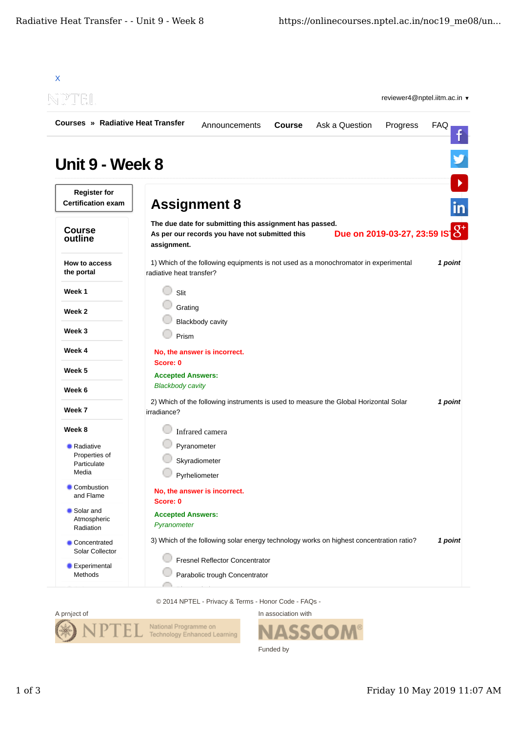| <b>Courses » Radiative Heat Transfer</b>         | <b>Course</b><br>Announcements                                                                                           | Ask a Question<br>Progress    | FAQ     |
|--------------------------------------------------|--------------------------------------------------------------------------------------------------------------------------|-------------------------------|---------|
|                                                  |                                                                                                                          |                               |         |
| Unit 9 - Week 8                                  |                                                                                                                          |                               |         |
| <b>Register for</b><br><b>Certification exam</b> | <b>Assignment 8</b>                                                                                                      |                               | in      |
| <b>Course</b><br>outline                         | The due date for submitting this assignment has passed.<br>As per our records you have not submitted this<br>assignment. | Due on 2019-03-27, 23:59 IS 8 |         |
| How to access<br>the portal                      | 1) Which of the following equipments is not used as a monochromator in experimental<br>radiative heat transfer?          |                               | 1 point |
| Week 1                                           | Slit                                                                                                                     |                               |         |
| Week 2                                           | Grating                                                                                                                  |                               |         |
| Week 3                                           | <b>Blackbody cavity</b><br>Prism                                                                                         |                               |         |
| Week 4                                           | No, the answer is incorrect.                                                                                             |                               |         |
| Week 5                                           | Score: 0                                                                                                                 |                               |         |
| Week 6                                           | <b>Accepted Answers:</b><br><b>Blackbody cavity</b>                                                                      |                               |         |
| Week 7                                           | 2) Which of the following instruments is used to measure the Global Horizontal Solar<br>irradiance?                      |                               | 1 point |
| Week 8                                           | Infrared camera                                                                                                          |                               |         |
| Radiative<br>Properties of                       | Pyranometer                                                                                                              |                               |         |
| Particulate<br>Media                             | Skyradiometer<br>Pyrheliometer                                                                                           |                               |         |
| Combustion<br>and Flame                          | No, the answer is incorrect.<br>Score: 0                                                                                 |                               |         |
| Solar and<br>Atmospheric<br>Radiation            | <b>Accepted Answers:</b><br>Pyranometer                                                                                  |                               |         |
| Concentrated<br>Solar Collector                  | 3) Which of the following solar energy technology works on highest concentration ratio?                                  |                               | 1 point |
| Experimental                                     | Fresnel Reflector Concentrator                                                                                           |                               |         |

© 2014 NPTEL - Privacy & Terms - Honor Code - FAQs -



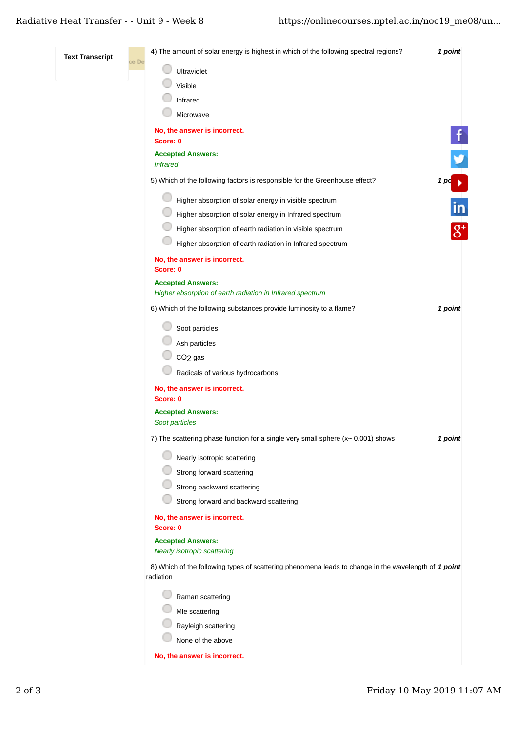